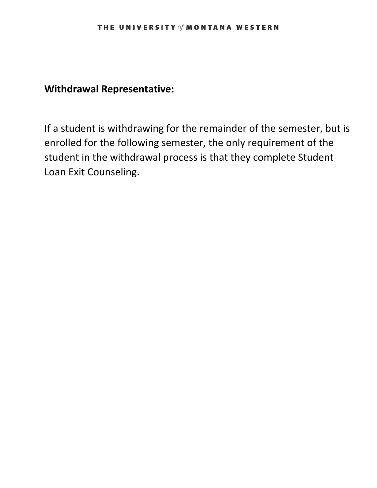# **Withdrawal Representative:**

If a student is withdrawing for the remainder of the semester, but is enrolled for the following semester, the only requirement of the student in the withdrawal process is that they complete Student Loan Exit Counseling.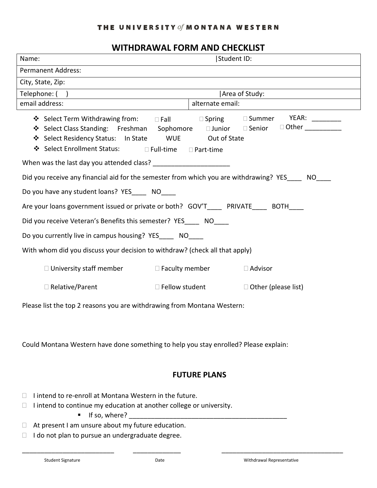#### THE UNIVERSITY of MONTANA WESTERN

# **WITHDRAWAL FORM AND CHECKLIST**

| Name:                                                                                                                                                 | Student ID:              |                            |  |  |
|-------------------------------------------------------------------------------------------------------------------------------------------------------|--------------------------|----------------------------|--|--|
| <b>Permanent Address:</b>                                                                                                                             |                          |                            |  |  |
| City, State, Zip:                                                                                                                                     |                          |                            |  |  |
| Telephone: ()                                                                                                                                         | Area of Study:           |                            |  |  |
| email address:                                                                                                                                        | alternate email:         |                            |  |  |
| ❖ Select Residency Status: In State WUE Out of State<br>❖ Select Enrollment Status: □ Full-time □ Part-time                                           |                          |                            |  |  |
|                                                                                                                                                       |                          |                            |  |  |
| Did you receive any financial aid for the semester from which you are withdrawing? YES____ NO____<br>Do you have any student loans? YES______ NO_____ |                          |                            |  |  |
| Are your loans government issued or private or both? GOV'T_______ PRIVATE______ BOTH____                                                              |                          |                            |  |  |
| Did you receive Veteran's Benefits this semester? YES_____ NO____                                                                                     |                          |                            |  |  |
| Do you currently live in campus housing? YES_____ NO____                                                                                              |                          |                            |  |  |
| With whom did you discuss your decision to withdraw? (check all that apply)                                                                           |                          |                            |  |  |
| $\Box$ University staff member $\Box$ Faculty member                                                                                                  |                          | $\Box$ Advisor             |  |  |
| $\Box$ Relative/Parent                                                                                                                                | $\square$ Fellow student | $\Box$ Other (please list) |  |  |

Please list the top 2 reasons you are withdrawing from Montana Western:

Could Montana Western have done something to help you stay enrolled? Please explain:

### **FUTURE PLANS**

- $\Box$  I intend to re-enroll at Montana Western in the future.
- $\Box$  I intend to continue my education at another college or university.
	- If so, where? \_\_\_\_\_\_\_\_\_\_\_\_\_\_\_\_\_\_\_\_\_\_\_\_\_\_\_\_\_\_\_\_\_\_\_\_\_\_\_\_\_\_\_
- $\Box$  At present I am unsure about my future education.
- $\Box$  I do not plan to pursue an undergraduate degree.

\_\_\_\_\_\_\_\_\_\_\_\_\_\_\_\_\_\_\_\_\_\_\_\_\_ \_\_\_\_\_\_\_\_\_\_\_\_\_ \_\_\_\_\_\_\_\_\_\_\_\_\_\_\_\_\_\_\_\_\_\_\_\_\_\_\_\_\_\_\_\_\_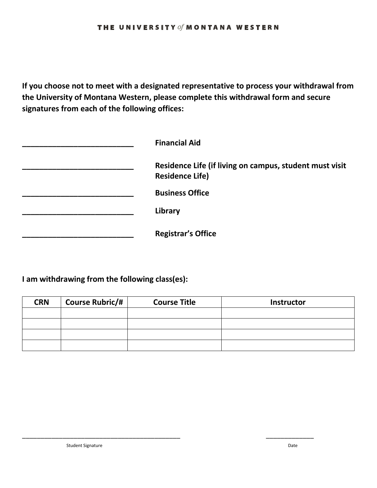#### THE UNIVERSITY of MONTANA WESTERN

**If you choose not to meet with a designated representative to process your withdrawal from the University of Montana Western, please complete this withdrawal form and secure signatures from each of the following offices:** 

| <b>Financial Aid</b>                                                              |
|-----------------------------------------------------------------------------------|
| Residence Life (if living on campus, student must visit<br><b>Residence Life)</b> |
| <b>Business Office</b>                                                            |
| Library                                                                           |
| <b>Registrar's Office</b>                                                         |

### **I am withdrawing from the following class(es):**

| <b>CRN</b> | <b>Course Rubric/#</b> | <b>Course Title</b> | Instructor |
|------------|------------------------|---------------------|------------|
|            |                        |                     |            |
|            |                        |                     |            |
|            |                        |                     |            |
|            |                        |                     |            |

\_\_\_\_\_\_\_\_\_\_\_\_\_\_\_\_\_\_\_\_\_\_\_\_\_\_\_\_\_\_\_\_\_\_\_\_\_\_\_\_\_\_\_ \_\_\_\_\_\_\_\_\_\_\_\_\_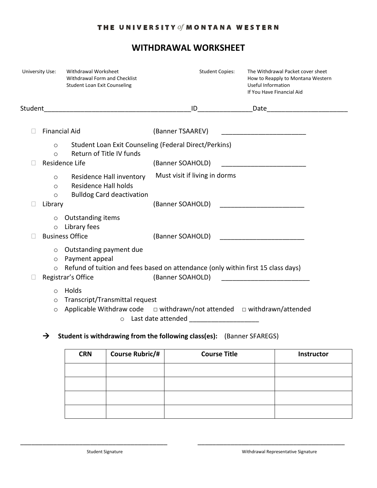### THE UNIVERSITY of MONTANA WESTERN

# **WITHDRAWAL WORKSHEET**

| University Use: |                               | Withdrawal Worksheet<br>Withdrawal Form and Checklist<br><b>Student Loan Exit Counseling</b>                                                        |                                            | <b>Student Copies:</b> | The Withdrawal Packet cover sheet<br>How to Reapply to Montana Western<br>Useful Information<br>If You Have Financial Aid |  |
|-----------------|-------------------------------|-----------------------------------------------------------------------------------------------------------------------------------------------------|--------------------------------------------|------------------------|---------------------------------------------------------------------------------------------------------------------------|--|
| Student         |                               |                                                                                                                                                     | ID                                         |                        |                                                                                                                           |  |
|                 | <b>Financial Aid</b>          |                                                                                                                                                     | (Banner TSAAREV)                           |                        |                                                                                                                           |  |
|                 | $\circ$<br>$\bigcirc$         | Student Loan Exit Counseling (Federal Direct/Perkins)<br>Return of Title IV funds                                                                   |                                            |                        |                                                                                                                           |  |
|                 | Residence Life                |                                                                                                                                                     | (Banner SOAHOLD)                           |                        |                                                                                                                           |  |
|                 | O<br>$\circ$<br>$\circ$       | Residence Hall inventory<br><b>Residence Hall holds</b><br><b>Bulldog Card deactivation</b>                                                         | Must visit if living in dorms              |                        |                                                                                                                           |  |
|                 | Library                       |                                                                                                                                                     |                                            |                        | (Banner SOAHOLD) and the state of the state of the state of the state of the state of the state of the state o            |  |
|                 | $\circ$<br>$\circ$            | <b>Outstanding items</b><br>Library fees<br><b>Business Office</b>                                                                                  | (Banner SOAHOLD)                           |                        |                                                                                                                           |  |
|                 | $\circ$<br>$\circ$<br>$\circ$ | Outstanding payment due<br>Payment appeal<br>Refund of tuition and fees based on attendance (only within first 15 class days)<br>Registrar's Office | (Banner SOAHOLD)                           |                        | <u> 1989 - Jan James James James James James James James James James James James James James James James James Ja</u>     |  |
|                 | $\circ$<br>$\circ$<br>$\circ$ | Holds<br>Transcript/Transmittal request<br>Applicable Withdraw code $\Box$ withdrawn/not attended $\Box$ withdrawn/attended<br>$\circ$              | Last date attended _______________________ |                        |                                                                                                                           |  |

**Student is withdrawing from the following class(es):** (Banner SFAREGS)

| <b>CRN</b> | <b>Course Rubric/#</b> | <b>Course Title</b> | Instructor |
|------------|------------------------|---------------------|------------|
|            |                        |                     |            |
|            |                        |                     |            |
|            |                        |                     |            |
|            |                        |                     |            |

\_\_\_\_\_\_\_\_\_\_\_\_\_\_\_\_\_\_\_\_\_\_\_\_\_\_\_\_\_\_\_\_\_\_\_\_\_\_\_\_ \_\_\_\_\_\_\_\_\_\_\_\_\_\_\_\_\_\_\_\_\_\_\_\_\_\_\_\_\_\_\_\_\_\_\_\_\_\_\_\_